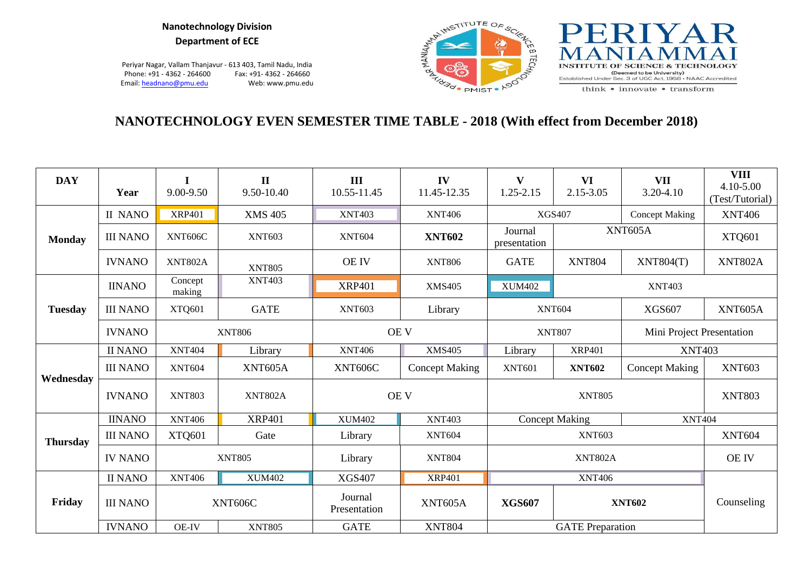#### **Nanotechnology Division Department of ECE**

Periyar Nagar, Vallam Thanjavur - 613 403, Tamil Nadu, India Phone: +91 - 4362 - 264600 Fax: +91 - 4362 - 264660<br>Email: headnano@pmu.edu Web: www.pmu.edu Email: headnano@pmu.edu





think • innovate • transform

# **NANOTECHNOLOGY EVEN SEMESTER TIME TABLE - 2018 (With effect from December 2018)**

| <b>DAY</b>      | Year                           | 9.00-9.50         | $\mathbf{H}$<br>9.50-10.40                      | III<br>10.55-11.45 | IV<br>11.45-12.35     | V<br>1.25-2.15           | VI<br>2.15-3.05       | <b>VII</b><br>3.20-4.10   | <b>VIII</b><br>4.10-5.00<br>(Test/Tutorial) |  |
|-----------------|--------------------------------|-------------------|-------------------------------------------------|--------------------|-----------------------|--------------------------|-----------------------|---------------------------|---------------------------------------------|--|
|                 | <b>II NANO</b>                 | <b>XRP401</b>     | <b>XMS 405</b>                                  | <b>XNT403</b>      | <b>XNT406</b>         |                          | <b>XGS407</b>         | <b>Concept Making</b>     | <b>XNT406</b>                               |  |
| <b>Monday</b>   | <b>III NANO</b>                | XNT606C           | <b>XNT603</b>                                   | <b>XNT604</b>      | <b>XNT602</b>         | Journal<br>presentation  |                       | XNT605A                   | XTQ601                                      |  |
|                 | <b>IVNANO</b>                  | XNT802A           | <b>XNT805</b>                                   | <b>OE IV</b>       | <b>XNT806</b>         | <b>GATE</b>              | <b>XNT804</b>         | XNT804(T)                 | <b>XNT802A</b>                              |  |
|                 | <b>IINANO</b>                  | Concept<br>making | <b>XNT403</b>                                   | <b>XRP401</b>      | <b>XMS405</b>         | <b>XUM402</b>            |                       | <b>XNT403</b>             |                                             |  |
| <b>Tuesday</b>  | <b>III NANO</b>                | XTQ601            | <b>GATE</b>                                     | <b>XNT603</b>      | Library               |                          | <b>XNT604</b>         | <b>XGS607</b>             | <b>XNT605A</b>                              |  |
|                 | <b>IVNANO</b><br><b>XNT806</b> |                   |                                                 | <b>OE V</b>        |                       |                          | <b>XNT807</b>         | Mini Project Presentation |                                             |  |
|                 | <b>II NANO</b>                 | <b>XNT404</b>     | Library                                         | <b>XNT406</b>      | <b>XMS405</b>         | <b>XRP401</b><br>Library |                       | <b>XNT403</b>             |                                             |  |
|                 | <b>III NANO</b>                | <b>XNT604</b>     | XNT605A                                         | XNT606C            | <b>Concept Making</b> | <b>XNT601</b>            | <b>XNT602</b>         | <b>Concept Making</b>     | <b>XNT603</b>                               |  |
| Wednesday       | <b>IVNANO</b>                  | <b>XNT803</b>     | <b>XNT802A</b>                                  | <b>OE V</b>        |                       |                          | <b>XNT805</b>         |                           | <b>XNT803</b>                               |  |
|                 | <b>IINANO</b>                  | <b>XNT406</b>     | <b>XRP401</b><br><b>XUM402</b><br><b>XNT403</b> |                    |                       |                          | <b>Concept Making</b> | <b>XNT404</b>             |                                             |  |
| <b>Thursday</b> | <b>III NANO</b>                | <b>XTQ601</b>     | Gate                                            | Library            | <b>XNT604</b>         |                          | <b>XNT603</b>         |                           | <b>XNT604</b>                               |  |
|                 | <b>IV NANO</b>                 |                   | <b>XNT805</b>                                   | Library            | <b>XNT804</b>         |                          | <b>XNT802A</b>        |                           | <b>OE IV</b>                                |  |
|                 | <b>II NANO</b>                 | <b>XNT406</b>     | <b>XUM402</b>                                   | <b>XGS407</b>      | <b>XRP401</b>         |                          | <b>XNT406</b>         |                           |                                             |  |
| Friday          | <b>III NANO</b><br>XNT606C     |                   | Journal<br>Presentation                         | XNT605A            | <b>XGS607</b>         |                          | <b>XNT602</b>         | Counseling                |                                             |  |
|                 | <b>IVNANO</b>                  | <b>OE-IV</b>      | <b>XNT805</b>                                   | <b>GATE</b>        | <b>XNT804</b>         |                          |                       |                           |                                             |  |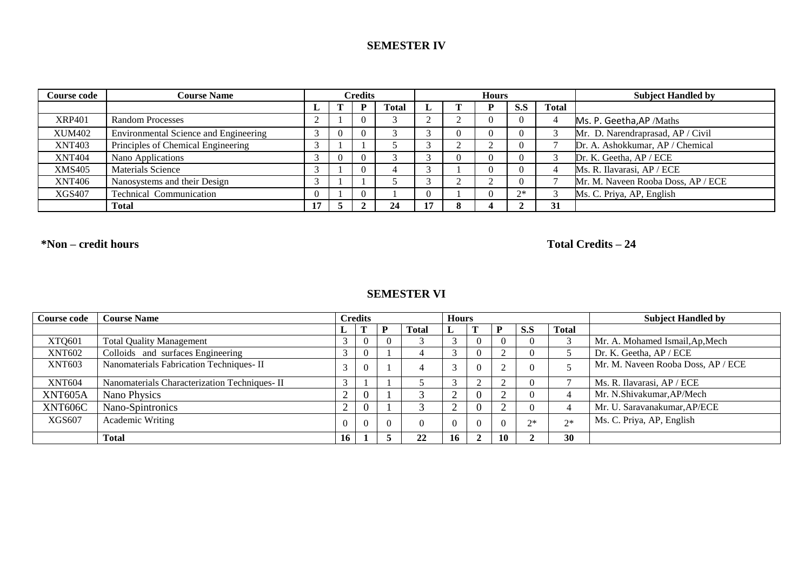## **SEMESTER IV**

| Course code   | <b>Course Name</b>                    |        | Credits |  |              |  | <b>Hours</b> |      |              | <b>Subject Handled by</b>          |
|---------------|---------------------------------------|--------|---------|--|--------------|--|--------------|------|--------------|------------------------------------|
|               |                                       |        |         |  | <b>Total</b> |  |              | S.S  | <b>Total</b> |                                    |
| <b>XRP401</b> | <b>Random Processes</b>               |        |         |  |              |  |              | v    |              | Ms. P. Geetha, AP / Maths          |
| <b>XUM402</b> | Environmental Science and Engineering | 3      |         |  |              |  |              |      |              | Mr. D. Narendraprasad, AP / Civil  |
| <b>XNT403</b> | Principles of Chemical Engineering    | $\sim$ |         |  |              |  |              |      |              | Dr. A. Ashokkumar, AP / Chemical   |
| <b>XNT404</b> | Nano Applications                     | 3      |         |  |              |  |              |      |              | Dr. K. Geetha, AP / ECE            |
| <b>XMS405</b> | <b>Materials Science</b>              |        |         |  |              |  |              |      |              | Ms. R. Ilavarasi, AP / ECE         |
| <b>XNT406</b> | Nanosystems and their Design          | 3      |         |  |              |  |              |      |              | Mr. M. Naveen Rooba Doss, AP / ECE |
| XGS407        | <b>Technical Communication</b>        |        |         |  |              |  |              | $7*$ |              | Ms. C. Priya, AP, English          |
|               | <b>Total</b>                          | 17     |         |  | 24           |  |              |      | 31           |                                    |

**\*Non – credit hours Total Credits – 24**

### **SEMESTER VI**

| <b>Course code</b> | <b>Course Name</b>                            |            |          |   |              | <b>Hours</b> |        |      |              | <b>Subject Handled by</b>          |
|--------------------|-----------------------------------------------|------------|----------|---|--------------|--------------|--------|------|--------------|------------------------------------|
|                    |                                               |            |          | D | <b>Total</b> |              |        | D.D  | <b>Total</b> |                                    |
| XTQ601             | <b>Total Quality Management</b>               | 3          | $\theta$ |   |              |              |        |      |              | Mr. A. Mohamed Ismail, Ap, Mech    |
| <b>XNT602</b>      | Colloids and surfaces Engineering             | $\sqrt{2}$ | $\theta$ |   |              |              |        |      |              | Dr. K. Geetha, AP / ECE            |
| <b>XNT603</b>      | Nanomaterials Fabrication Techniques- II      | 3          | $\theta$ |   |              |              | $\sim$ |      |              | Mr. M. Naveen Rooba Doss, AP / ECE |
| <b>XNT604</b>      | Nanomaterials Characterization Techniques- II | $\sim$     |          |   |              |              | $\sim$ |      |              | Ms. R. Ilavarasi, AP / ECE         |
| XNT605A            | Nano Physics                                  | $\sim$     |          |   |              | $\sim$       |        |      |              | Mr. N.Shivakumar, AP/Mech          |
| XNT606C            | Nano-Spintronics                              | $\sim$     |          |   |              | $\sim$       |        |      |              | Mr. U. Saravanakumar, AP/ECE       |
| <b>XGS607</b>      | Academic Writing                              | $\theta$   | $\Omega$ |   |              | $\Omega$     |        | $2*$ | $2^*$        | Ms. C. Priya, AP, English          |
|                    | Total                                         | 16         |          |   | 22           | 16           | 10     |      | 30           |                                    |